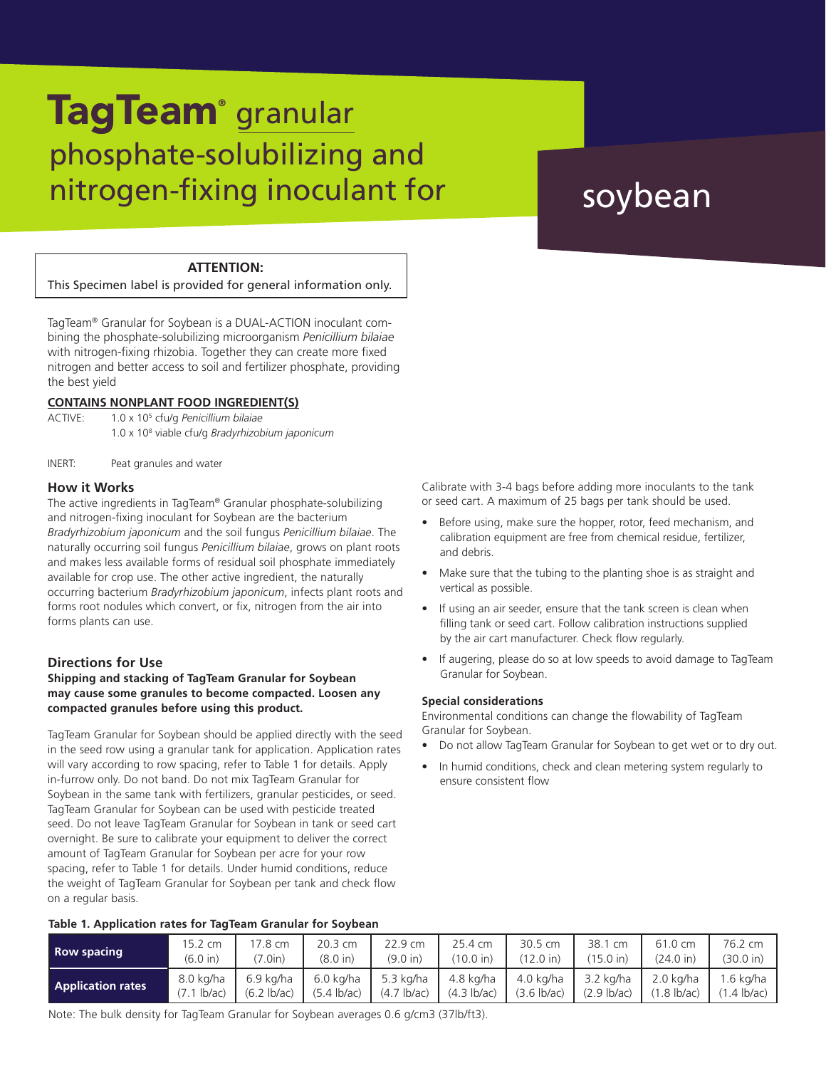# phosphate-solubilizing and nitrogen-fixing inoculant for TagTeam<sup>®</sup> granular

# soybean

## **ATTENTION:**

This Specimen label is provided for general information only.

TagTeam® Granular for Soybean is a DUAL-ACTION inoculant combining the phosphate-solubilizing microorganism *Penicillium bilaiae* with nitrogen-fixing rhizobia. Together they can create more fixed nitrogen and better access to soil and fertilizer phosphate, providing the best yield

## **CONTAINS NONPLANT FOOD INGREDIENT(S)**

ACTIVE: 1.0 x 105 cfu/g *Penicillium bilaiae*

1.0 x 108 viable cfu/g *Bradyrhizobium japonicum*

INERT: Peat granules and water

### **How it Works**

The active ingredients in TagTeam® Granular phosphate-solubilizing and nitrogen-fixing inoculant for Soybean are the bacterium *Bradyrhizobium japonicum* and the soil fungus *Penicillium bilaiae*. The naturally occurring soil fungus *Penicillium bilaiae*, grows on plant roots and makes less available forms of residual soil phosphate immediately available for crop use. The other active ingredient, the naturally occurring bacterium *Bradyrhizobium japonicum*, infects plant roots and forms root nodules which convert, or fix, nitrogen from the air into forms plants can use.

### **Directions for Use**

#### **Shipping and stacking of TagTeam Granular for Soybean may cause some granules to become compacted. Loosen any compacted granules before using this product.**

TagTeam Granular for Soybean should be applied directly with the seed in the seed row using a granular tank for application. Application rates will vary according to row spacing, refer to Table 1 for details. Apply in-furrow only. Do not band. Do not mix TagTeam Granular for Soybean in the same tank with fertilizers, granular pesticides, or seed. TagTeam Granular for Soybean can be used with pesticide treated seed. Do not leave TagTeam Granular for Soybean in tank or seed cart overnight. Be sure to calibrate your equipment to deliver the correct amount of TagTeam Granular for Soybean per acre for your row spacing, refer to Table 1 for details. Under humid conditions, reduce the weight of TagTeam Granular for Soybean per tank and check flow on a regular basis.

**Table 1. Application rates for TagTeam Granular for Soybean**

Calibrate with 3-4 bags before adding more inoculants to the tank or seed cart. A maximum of 25 bags per tank should be used.

- Before using, make sure the hopper, rotor, feed mechanism, and calibration equipment are free from chemical residue, fertilizer, and debris.
- Make sure that the tubing to the planting shoe is as straight and vertical as possible.
- If using an air seeder, ensure that the tank screen is clean when filling tank or seed cart. Follow calibration instructions supplied by the air cart manufacturer. Check flow regularly.
- If augering, please do so at low speeds to avoid damage to TagTeam Granular for Soybean.

#### **Special considerations**

Environmental conditions can change the flowability of TagTeam Granular for Soybean.

- Do not allow TagTeam Granular for Soybean to get wet or to dry out.
- In humid conditions, check and clean metering system regularly to ensure consistent flow

| <b>Row spacing</b>       | 15.2 cm       | 17.8 cm               | 20.3 cm               | 22.9 cm               | 25.4 cm               | $30.5 \text{ cm}$     | 38.1 cm             | 61.0 cm               | 76.2 cm      |
|--------------------------|---------------|-----------------------|-----------------------|-----------------------|-----------------------|-----------------------|---------------------|-----------------------|--------------|
|                          | (6.0 in)      | (7.0in)               | (8.0 in)              | (9.0 in)              | (10.0 in)             | $(12.0 \text{ in})$   | $(15.0 \text{ in})$ | $(24.0 \text{ in})$   | (30.0 in)    |
| <b>Application rates</b> | 8.0 kg/ha     | 6.9 ka/ha             | 6.0 kg/ha             | 5.3 ka/ha             | 4.8 kg/ha             | 4.0 kg/ha             | 3.2 kg/ha           | $2.0 \text{ ka/ha}$   | .6 ka/ha     |
|                          | $(7.1$ lb/ac) | $(6.2 \text{ lb/ac})$ | $(5.4 \text{ lb/ac})$ | $(4.7 \text{ lb/ac})$ | $(4.3 \text{ lb/ac})$ | $(3.6 \text{ lb/ac})$ | $(2.9$ lb/ac)       | $(1.8 \text{ lb/ac})$ | $1.4$ lb/ac) |

Note: The bulk density for TagTeam Granular for Soybean averages 0.6 g/cm3 (37lb/ft3).